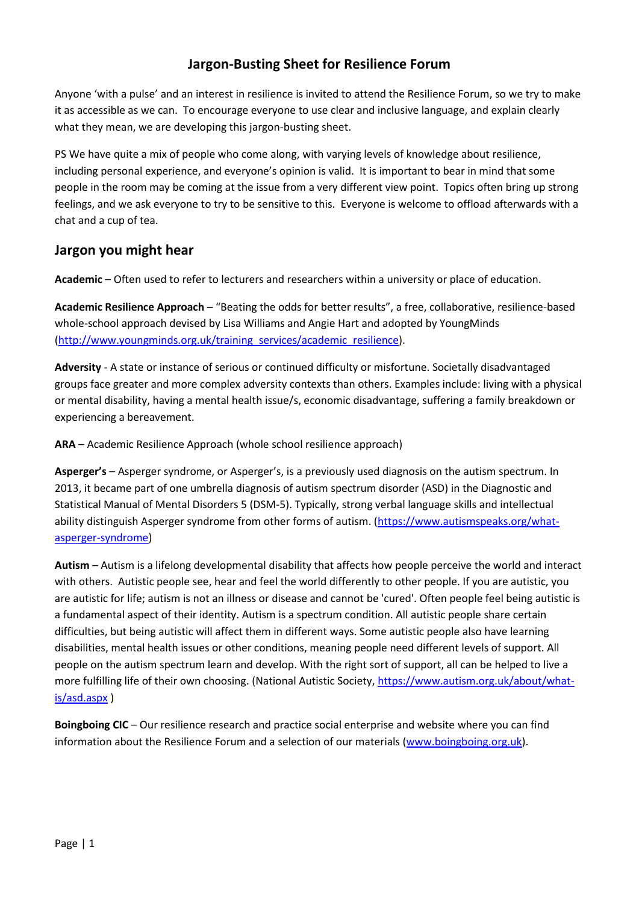## **Jargon-Busting Sheet for Resilience Forum**

Anyone 'with a pulse' and an interest in resilience is invited to attend the Resilience Forum, so we try to make it as accessible as we can. To encourage everyone to use clear and inclusive language, and explain clearly what they mean, we are developing this jargon-busting sheet.

PS We have quite a mix of people who come along, with varying levels of knowledge about resilience, including personal experience, and everyone's opinion is valid. It is important to bear in mind that some people in the room may be coming at the issue from a very different view point. Topics often bring up strong feelings, and we ask everyone to try to be sensitive to this. Everyone is welcome to offload afterwards with a chat and a cup of tea.

## **Jargon you might hear**

**Academic** – Often used to refer to lecturers and researchers within a university or place of education.

**Academic Resilience Approach** – "Beating the odds for better results", a free, collaborative, resilience-based whole-school approach devised by Lisa Williams and Angie Hart and adopted by YoungMinds [\(http://www.youngminds.org.uk/training\\_services/academic\\_resilience\)](http://www.youngminds.org.uk/training_services/academic_resilience).

**Adversity** - A state or instance of serious or continued difficulty or misfortune. Societally disadvantaged groups face greater and more complex adversity contexts than others. Examples include: living with a physical or mental disability, having a mental health issue/s, economic disadvantage, suffering a family breakdown or experiencing a bereavement.

**ARA** – Academic Resilience Approach (whole school resilience approach)

**Asperger's** – Asperger syndrome, or Asperger's, is a previously used diagnosis on the autism spectrum. In 2013, it became part of one umbrella diagnosis of autism spectrum disorder (ASD) in the Diagnostic and Statistical Manual of Mental Disorders 5 (DSM-5). Typically, strong verbal language skills and intellectual ability distinguish Asperger syndrome from other forms of autism. [\(https://www.autismspeaks.org/what](https://www.autismspeaks.org/what-asperger-syndrome)[asperger-syndrome\)](https://www.autismspeaks.org/what-asperger-syndrome)

**Autism** – Autism is a lifelong developmental disability that affects how people perceive the world and interact with others. Autistic people see, hear and feel the world differently to other people. If you are autistic, you are autistic for life; autism is not an illness or disease and cannot be 'cured'. Often people feel being autistic is a fundamental aspect of their identity. Autism is a spectrum condition. All autistic people share certain difficulties, but being autistic will affect them in different ways. Some autistic people also have learning disabilities, mental health issues or other conditions, meaning people need different levels of support. All people on the autism spectrum learn and develop. With the right sort of support, all can be helped to live a more fulfilling life of their own choosing. (National Autistic Society, [https://www.autism.org.uk/about/what](https://www.autism.org.uk/about/what-is/asd.aspx)[is/asd.aspx](https://www.autism.org.uk/about/what-is/asd.aspx) )

**Boingboing CIC** – Our resilience research and practice social enterprise and website where you can find information about the Resilience Forum and a selection of our materials [\(www.boingboing.org.uk\)](http://www.boingboing.org.uk/).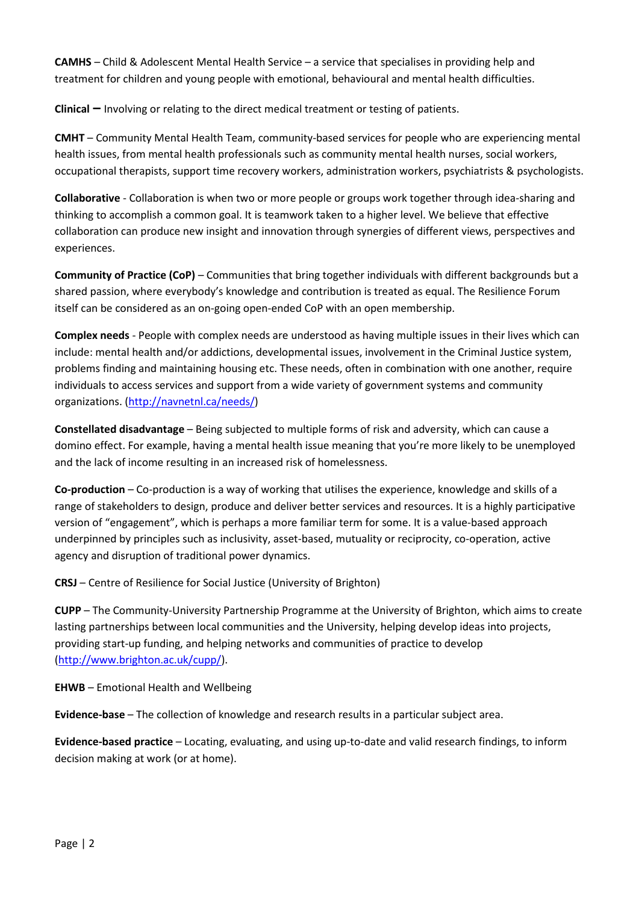**CAMHS** – Child & Adolescent Mental Health Service – a service that specialises in providing help and treatment for children and young people with emotional, behavioural and mental health difficulties.

**Clinical –** Involving or relating to the direct medical treatment or testing of patients.

**CMHT** – Community Mental Health Team, community-based services for people who are experiencing mental health issues, from mental health professionals such as community mental health nurses, social workers, occupational therapists, support time recovery workers, administration workers, psychiatrists & psychologists.

**Collaborative** - Collaboration is when two or more people or groups work together through idea-sharing and thinking to accomplish a common goal. It is teamwork taken to a higher level. We believe that effective collaboration can produce new insight and innovation through synergies of different views, perspectives and experiences.

**Community of Practice (CoP)** – Communities that bring together individuals with different backgrounds but a shared passion, where everybody's knowledge and contribution is treated as equal. The Resilience Forum itself can be considered as an on-going open-ended CoP with an open membership.

**Complex needs** - People with complex needs are understood as having multiple issues in their lives which can include: mental health and/or addictions, developmental issues, involvement in the Criminal Justice system, problems finding and maintaining housing etc. These needs, often in combination with one another, require individuals to access services and support from a wide variety of government systems and community organizations. [\(http://navnetnl.ca/needs/\)](http://navnetnl.ca/needs/)

**Constellated disadvantage** – Being subjected to multiple forms of risk and adversity, which can cause a domino effect. For example, having a mental health issue meaning that you're more likely to be unemployed and the lack of income resulting in an increased risk of homelessness.

**Co-production** – Co-production is a way of working that utilises the experience, knowledge and skills of a range of stakeholders to design, produce and deliver better services and resources. It is a highly participative version of "engagement", which is perhaps a more familiar term for some. It is a value-based approach underpinned by principles such as inclusivity, asset-based, mutuality or reciprocity, co-operation, active agency and disruption of traditional power dynamics.

**CRSJ** – Centre of Resilience for Social Justice (University of Brighton)

**CUPP** – The Community-University Partnership Programme at the University of Brighton, which aims to create lasting partnerships between local communities and the University, helping develop ideas into projects, providing start-up funding, and helping networks and communities of practice to develop [\(http://www.brighton.ac.uk/cupp/\)](http://www.brighton.ac.uk/cupp/).

**EHWB** – Emotional Health and Wellbeing

**Evidence-base** – The collection of knowledge and research results in a particular subject area.

**Evidence-based practice** – Locating, evaluating, and using up-to-date and valid research findings, to inform decision making at work (or at home).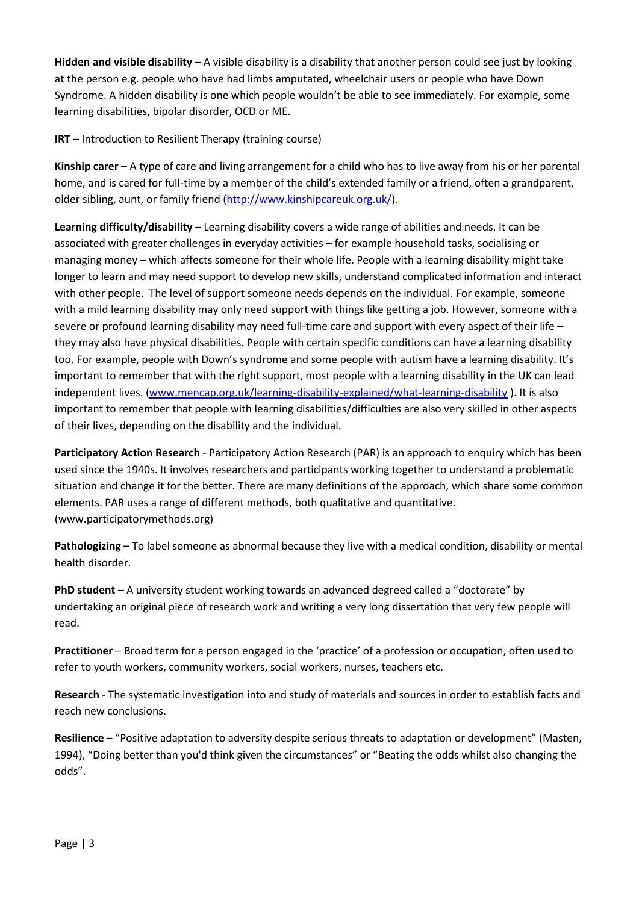**Hidden and visible disability** – A visible disability is a disability that another person could see just by looking at the person e.g. people who have had limbs amputated, wheelchair users or people who have Down Syndrome. A hidden disability is one which people wouldn't be able to see immediately. For example, some learning disabilities, bipolar disorder, OCD or ME.

**IRT** – Introduction to Resilient Therapy (training course)

**Kinship carer** – A type of care and living arrangement for a child who has to live away from his or her parental home, and is cared for full-time by a member of the child's extended family or a friend, often a grandparent, older sibling, aunt, or family friend [\(http://www.kinshipcareuk.org.uk/\)](http://www.kinshipcareuk.org.uk/).

**Learning difficulty/disability** – Learning disability covers a wide range of abilities and needs. It can be associated with greater challenges in everyday activities – for example household tasks, socialising or managing money – which affects someone for their whole life. People with a learning disability might take longer to learn and may need support to develop new skills, understand complicated information and interact with other people. The level of support someone needs depends on the individual. For example, someone with a mild learning disability may only need support with things like getting a job. However, someone with a severe or profound learning disability may need full-time care and support with every aspect of their life – they may also have physical disabilities. People with certain specific conditions can have a learning disability too. For example, people with Down's syndrome and some people with autism have a learning disability. It's important to remember that with the right support, most people with a learning disability in the UK can lead independent lives. [\(www.mencap.org.uk/learning-disability-explained/what-learning-disability](http://www.mencap.org.uk/learning-disability-explained/what-learning-disability) ). It is also important to remember that people with learning disabilities/difficulties are also very skilled in other aspects of their lives, depending on the disability and the individual.

**Participatory Action Research** - Participatory Action Research (PAR) is an approach to enquiry which has been used since the 1940s. It involves researchers and participants working together to understand a problematic situation and change it for the better. There are many definitions of the approach, which share some common elements. PAR uses a range of different methods, both qualitative and quantitative. (www.participatorymethods.org)

**Pathologizing –** To label someone as abnormal because they live with a medical condition, disability or mental health disorder.

**PhD student** – A university student working towards an advanced degreed called a "doctorate" by undertaking an original piece of research work and writing a very long dissertation that very few people will read.

**Practitioner** – Broad term for a person engaged in the 'practice' of a profession or occupation, often used to refer to youth workers, community workers, social workers, nurses, teachers etc.

**Research** - The systematic investigation into and study of materials and sources in order to establish facts and reach new conclusions.

**Resilience** – "Positive adaptation to adversity despite serious threats to adaptation or development" (Masten, 1994), "Doing better than you'd think given the circumstances" or "Beating the odds whilst also changing the odds".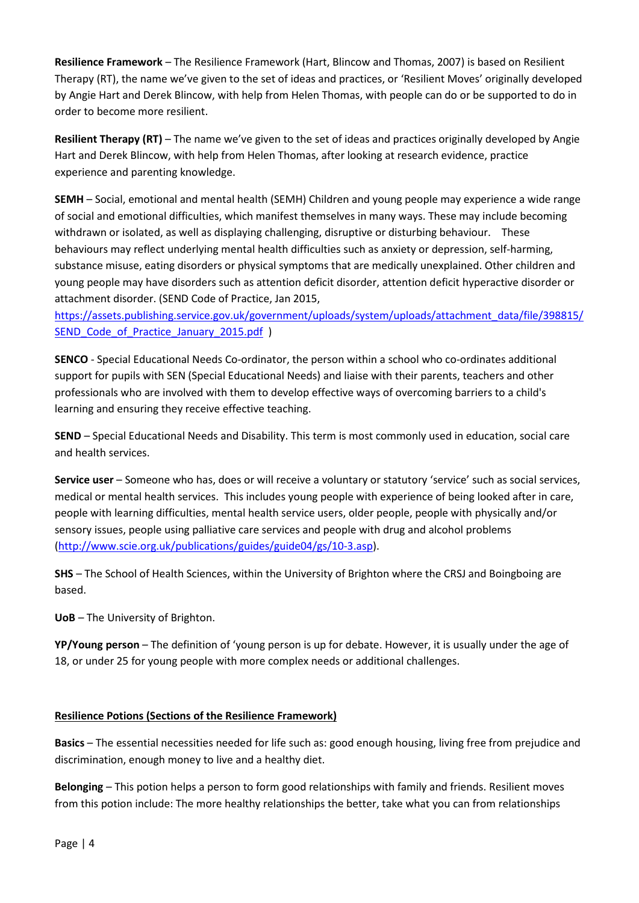**Resilience Framework** – The Resilience Framework (Hart, Blincow and Thomas, 2007) is based on Resilient Therapy (RT), the name we've given to the set of ideas and practices, or 'Resilient Moves' originally developed by Angie Hart and Derek Blincow, with help from Helen Thomas, with people can do or be supported to do in order to become more resilient.

**Resilient Therapy (RT)** – The name we've given to the set of ideas and practices originally developed by Angie Hart and Derek Blincow, with help from Helen Thomas, after looking at research evidence, practice experience and parenting knowledge.

**SEMH** – Social, emotional and mental health (SEMH) Children and young people may experience a wide range of social and emotional difficulties, which manifest themselves in many ways. These may include becoming withdrawn or isolated, as well as displaying challenging, disruptive or disturbing behaviour. These behaviours may reflect underlying mental health difficulties such as anxiety or depression, self-harming, substance misuse, eating disorders or physical symptoms that are medically unexplained. Other children and young people may have disorders such as attention deficit disorder, attention deficit hyperactive disorder or attachment disorder. (SEND Code of Practice, Jan 2015,

[https://assets.publishing.service.gov.uk/government/uploads/system/uploads/attachment\\_data/file/398815/](https://assets.publishing.service.gov.uk/government/uploads/system/uploads/attachment_data/file/398815/SEND_Code_of_Practice_January_2015.pdf) SEND Code of Practice January 2015.pdf )

**SENCO** - Special Educational Needs Co-ordinator, the person within a school who co-ordinates additional support for pupils with SEN (Special Educational Needs) and liaise with their parents, teachers and other professionals who are involved with them to develop effective ways of overcoming barriers to a child's learning and ensuring they receive effective teaching.

**SEND** – Special Educational Needs and Disability. This term is most commonly used in education, social care and health services.

**Service user** – Someone who has, does or will receive a voluntary or statutory 'service' such as social services, medical or mental health services. This includes young people with experience of being looked after in care, people with learning difficulties, mental health service users, older people, people with physically and/or sensory issues, people using palliative care services and people with drug and alcohol problems [\(http://www.scie.org.uk/publications/guides/guide04/gs/10-3.asp\)](http://www.scie.org.uk/publications/guides/guide04/gs/10-3.asp).

**SHS** – The School of Health Sciences, within the University of Brighton where the CRSJ and Boingboing are based.

**UoB** – The University of Brighton.

**YP/Young person** – The definition of 'young person is up for debate. However, it is usually under the age of 18, or under 25 for young people with more complex needs or additional challenges.

## **Resilience Potions (Sections of the Resilience Framework)**

**Basics** – The essential necessities needed for life such as: good enough housing, living free from prejudice and discrimination, enough money to live and a healthy diet.

**Belonging** – This potion helps a person to form good relationships with family and friends. Resilient moves from this potion include: The more healthy relationships the better, take what you can from relationships